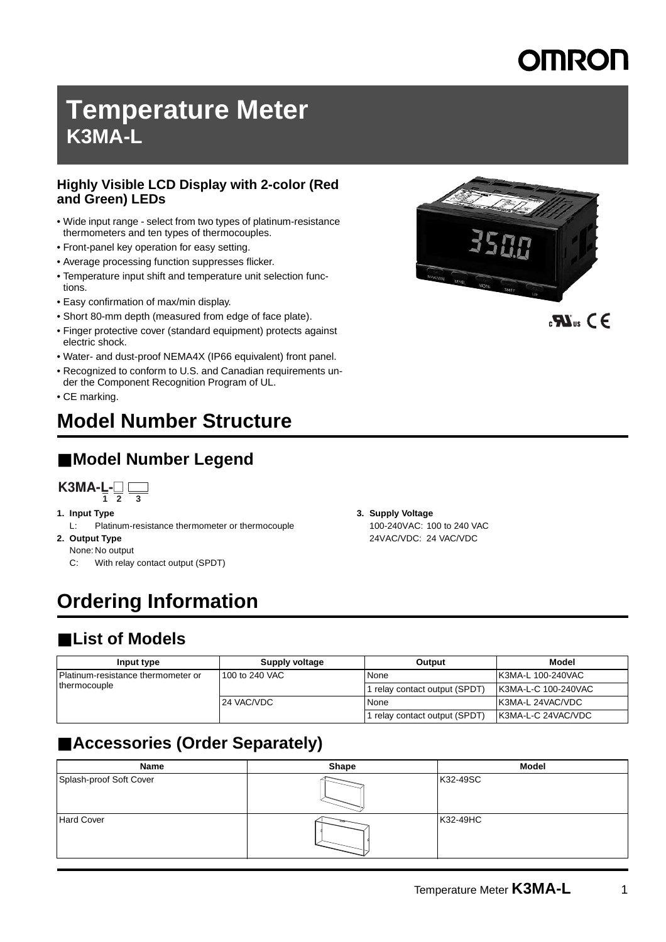## **Temperature Meter K3MA-L**

#### **Highly Visible LCD Display with 2-color (Red and Green) LEDs**

- Wide input range select from two types of platinum-resistance thermometers and ten types of thermocouples.
- Front-panel key operation for easy setting.
- Average processing function suppresses flicker.
- Temperature input shift and temperature unit selection functions.
- Easy confirmation of max/min display.
- Short 80-mm depth (measured from edge of face plate).
- Finger protective cover (standard equipment) protects against electric shock.
- Water- and dust-proof NEMA4X (IP66 equivalent) front panel.
- Recognized to conform to U.S. and Canadian requirements under the Component Recognition Program of UL.
- CE marking.

## **Model Number Structure**

## ■ Model Number Legend

$$
\mathbf{K3MA-L} = \square
$$

- **1. Input Type**
	- L: Platinum-resistance thermometer or thermocouple
- **2. Output Type**
	- None: No output
	- C: With relay contact output (SPDT)

## **Ordering Information**

### ■ List of Models

| Input type                         | Supply voltage | Output                      | <b>Model</b>                |
|------------------------------------|----------------|-----------------------------|-----------------------------|
| Platinum-resistance thermometer or | 100 to 240 VAC | l None                      | <b>K3MA-L 100-240VAC</b>    |
| thermocouple                       |                | relay contact output (SPDT) | <b>IK3MA-L-C 100-240VAC</b> |
|                                    | 24 VAC/VDC     | None                        | <b>K3MA-L 24VAC/VDC</b>     |
|                                    |                | relay contact output (SPDT) | K3MA-L-C 24VAC/VDC          |

## ■ **Accessories (Order Separately)**

| Name                    | Shape | <b>Model</b> |
|-------------------------|-------|--------------|
| Splash-proof Soft Cover |       | K32-49SC     |
| <b>Hard Cover</b>       |       | K32-49HC     |



 $\mathbf{R}$  and  $\mathbf{C} \in$ 

## **3. Supply Voltage**

100-240VAC: 100 to 240 VAC 24VAC/VDC: 24 VAC/VDC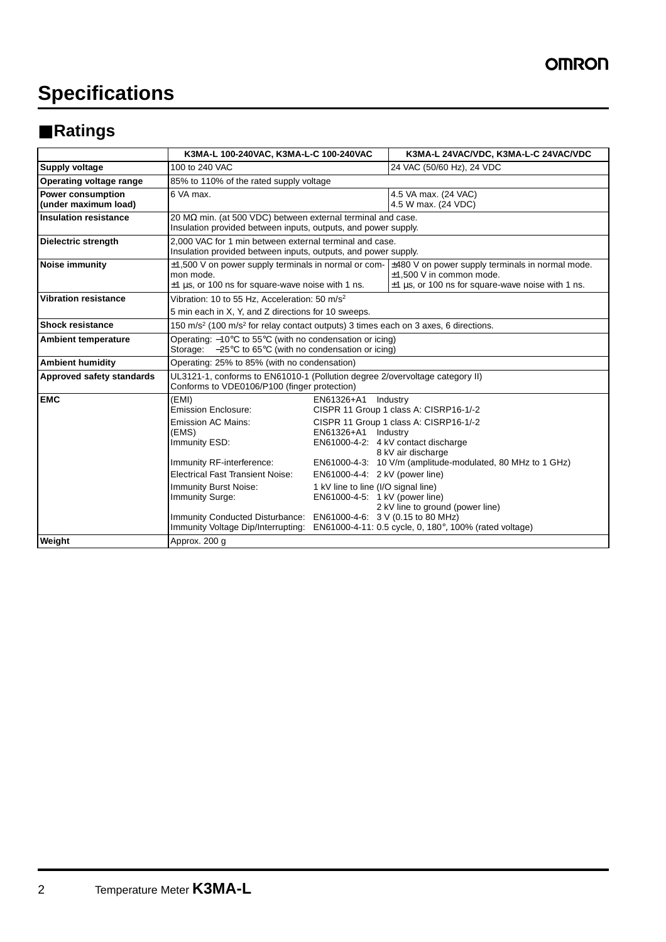## **Specifications**

## ■ **Ratings**

|                                                  | K3MA-L 100-240VAC, K3MA-L-C 100-240VAC                                                                                                                                                                                                                                                                                           |                                                                                                                                              | K3MA-L 24VAC/VDC, K3MA-L-C 24VAC/VDC                                                                                                                                                                                                                                                                                  |  |
|--------------------------------------------------|----------------------------------------------------------------------------------------------------------------------------------------------------------------------------------------------------------------------------------------------------------------------------------------------------------------------------------|----------------------------------------------------------------------------------------------------------------------------------------------|-----------------------------------------------------------------------------------------------------------------------------------------------------------------------------------------------------------------------------------------------------------------------------------------------------------------------|--|
| Supply voltage                                   | 100 to 240 VAC                                                                                                                                                                                                                                                                                                                   |                                                                                                                                              | 24 VAC (50/60 Hz), 24 VDC                                                                                                                                                                                                                                                                                             |  |
| Operating voltage range                          | 85% to 110% of the rated supply voltage                                                                                                                                                                                                                                                                                          |                                                                                                                                              |                                                                                                                                                                                                                                                                                                                       |  |
| <b>Power consumption</b><br>(under maximum load) | 6 VA max.                                                                                                                                                                                                                                                                                                                        |                                                                                                                                              | 4.5 VA max. (24 VAC)<br>4.5 W max. (24 VDC)                                                                                                                                                                                                                                                                           |  |
| <b>Insulation resistance</b>                     | 20 $\text{M}\Omega$ min. (at 500 VDC) between external terminal and case.<br>Insulation provided between inputs, outputs, and power supply.                                                                                                                                                                                      |                                                                                                                                              |                                                                                                                                                                                                                                                                                                                       |  |
| <b>Dielectric strength</b>                       | 2.000 VAC for 1 min between external terminal and case.<br>Insulation provided between inputs, outputs, and power supply.                                                                                                                                                                                                        |                                                                                                                                              |                                                                                                                                                                                                                                                                                                                       |  |
| <b>Noise immunity</b>                            | $\pm$ 1,500 V on power supply terminals in normal or com- $\pm$ 480 V on power supply terminals in normal mode.<br>mon mode.<br>$\pm$ 1 µs, or 100 ns for square-wave noise with 1 ns.                                                                                                                                           |                                                                                                                                              | $±1,500$ V in common mode.<br>$\pm$ 1 µs, or 100 ns for square-wave noise with 1 ns.                                                                                                                                                                                                                                  |  |
| <b>Vibration resistance</b>                      | Vibration: 10 to 55 Hz, Acceleration: 50 m/s <sup>2</sup><br>5 min each in X, Y, and Z directions for 10 sweeps.                                                                                                                                                                                                                 |                                                                                                                                              |                                                                                                                                                                                                                                                                                                                       |  |
| <b>Shock resistance</b>                          | 150 m/s <sup>2</sup> (100 m/s <sup>2</sup> for relay contact outputs) 3 times each on 3 axes, 6 directions.                                                                                                                                                                                                                      |                                                                                                                                              |                                                                                                                                                                                                                                                                                                                       |  |
| <b>Ambient temperature</b>                       | Operating: $-10^{\circ}$ C to 55 $^{\circ}$ C (with no condensation or icing)<br>Storage: $-25^{\circ}$ C to 65 $^{\circ}$ C (with no condensation or icing)                                                                                                                                                                     |                                                                                                                                              |                                                                                                                                                                                                                                                                                                                       |  |
| <b>Ambient humidity</b>                          | Operating: 25% to 85% (with no condensation)                                                                                                                                                                                                                                                                                     |                                                                                                                                              |                                                                                                                                                                                                                                                                                                                       |  |
| Approved safety standards                        | UL3121-1, conforms to EN61010-1 (Pollution degree 2/overvoltage category II)<br>Conforms to VDE0106/P100 (finger protection)                                                                                                                                                                                                     |                                                                                                                                              |                                                                                                                                                                                                                                                                                                                       |  |
| <b>EMC</b>                                       | (EMI)<br><b>Emission Enclosure:</b><br><b>Emission AC Mains:</b><br>(EMS)<br>Immunity ESD:<br>Immunity RF-interference:<br><b>Electrical Fast Transient Noise:</b><br><b>Immunity Burst Noise:</b><br>Immunity Surge:<br>Immunity Conducted Disturbance: EN61000-4-6: 3 V (0.15 to 80 MHz)<br>Immunity Voltage Dip/Interrupting: | EN61326+A1<br>EN61326+A1 Industry<br>EN61000-4-4: 2 kV (power line)<br>1 kV line to line (I/O signal line)<br>EN61000-4-5: 1 kV (power line) | Industry<br>CISPR 11 Group 1 class A: CISRP16-1/-2<br>CISPR 11 Group 1 class A: CISRP16-1/-2<br>EN61000-4-2: 4 kV contact discharge<br>8 kV air discharge<br>EN61000-4-3: 10 V/m (amplitude-modulated, 80 MHz to 1 GHz)<br>2 kV line to ground (power line)<br>EN61000-4-11: 0.5 cycle, 0, 180°, 100% (rated voltage) |  |
| Weight                                           | Approx. 200 g                                                                                                                                                                                                                                                                                                                    |                                                                                                                                              |                                                                                                                                                                                                                                                                                                                       |  |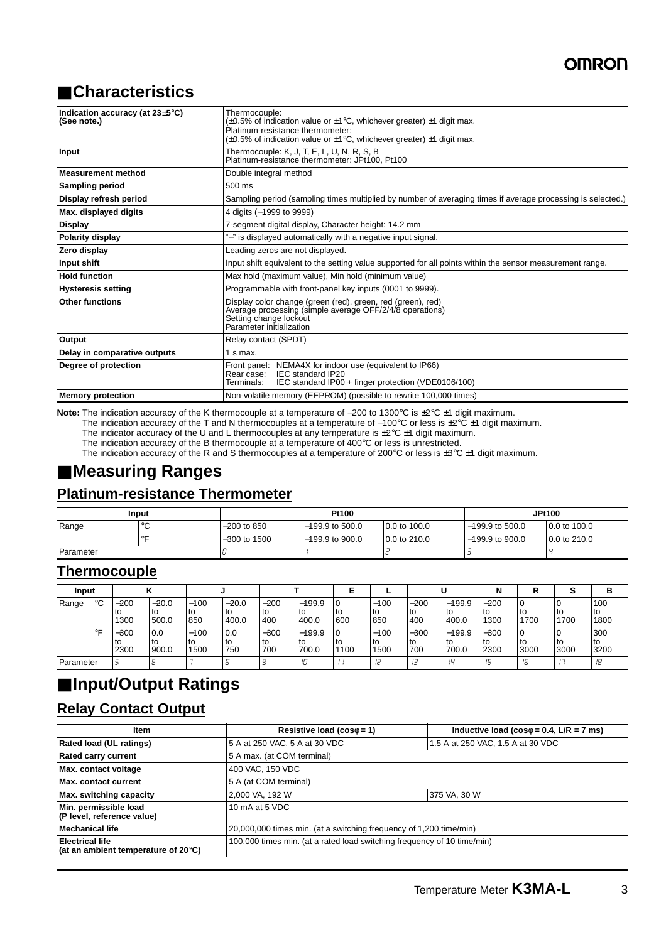## ■ **Characteristics**

| Indication accuracy (at 23±5°C)<br>(See note.) | Thermocouple:<br>$(\pm 0.5\%$ of indication value or $\pm 1\degree$ C, whichever greater) $\pm 1$ digit max.<br>Platinum-resistance thermometer:<br>$(\pm 0.5\%$ of indication value or $\pm 1^{\circ}$ C, whichever greater) $\pm 1$ digit max. |  |  |  |
|------------------------------------------------|--------------------------------------------------------------------------------------------------------------------------------------------------------------------------------------------------------------------------------------------------|--|--|--|
| Input                                          | Thermocouple: K, J, T, E, L, U, N, R, S, B<br>Platinum-resistance thermometer: JPt100, Pt100                                                                                                                                                     |  |  |  |
| <b>Measurement method</b>                      | Double integral method                                                                                                                                                                                                                           |  |  |  |
| <b>Sampling period</b>                         | $500$ ms                                                                                                                                                                                                                                         |  |  |  |
| Display refresh period                         | Sampling period (sampling times multiplied by number of averaging times if average processing is selected.)                                                                                                                                      |  |  |  |
| Max. displayed digits                          | 4 digits (-1999 to 9999)                                                                                                                                                                                                                         |  |  |  |
| <b>Display</b>                                 | 7-segment digital display, Character height: 14.2 mm                                                                                                                                                                                             |  |  |  |
| Polarity display                               | "-" is displayed automatically with a negative input signal.                                                                                                                                                                                     |  |  |  |
| Zero display                                   | Leading zeros are not displayed.                                                                                                                                                                                                                 |  |  |  |
| Input shift                                    | Input shift equivalent to the setting value supported for all points within the sensor measurement range.                                                                                                                                        |  |  |  |
| <b>Hold function</b>                           | Max hold (maximum value), Min hold (minimum value)                                                                                                                                                                                               |  |  |  |
| <b>Hysteresis setting</b>                      | Programmable with front-panel key inputs (0001 to 9999).                                                                                                                                                                                         |  |  |  |
| <b>Other functions</b>                         | Display color change (green (red), green, red (green), red)<br>Average processing (simple average OFF/2/4/8 operations)<br>Setting change lockout<br>Parameter initialization                                                                    |  |  |  |
| Output                                         | Relay contact (SPDT)                                                                                                                                                                                                                             |  |  |  |
| Delay in comparative outputs                   | $1 \text{ s max}$ .                                                                                                                                                                                                                              |  |  |  |
| Degree of protection                           | Front panel: NEMA4X for indoor use (equivalent to IP66)<br>IEC standard IP20<br>Rear case:<br>IEC standard IP00 + finger protection (VDE0106/100)<br>Terminals:                                                                                  |  |  |  |
| <b>Memory protection</b>                       | Non-volatile memory (EEPROM) (possible to rewrite 100,000 times)                                                                                                                                                                                 |  |  |  |

**Note:** The indication accuracy of the K thermocouple at a temperature of −200 to 1300°C is ±2°C ±1 digit maximum.

The indication accuracy of the T and N thermocouples at a temperature of −100°C or less is ±2°C ±1 digit maximum.

The indicator accuracy of the U and L thermocouples at any temperature is  $\pm 2^{\circ}C \pm 1$  digit maximum.

The indication accuracy of the B thermocouple at a temperature of 400°C or less is unrestricted.

The indication accuracy of the R and S thermocouples at a temperature of 200°C or less is ±3°C ±1 digit maximum.

### ■ **Measuring Ranges**

#### **Platinum-resistance Thermometer**

|           | Input | <b>Pt100</b>   |                   |              |                   | <b>JPt100</b> |
|-----------|-------|----------------|-------------------|--------------|-------------------|---------------|
| Range     |       | -200 to 850    | $-199.9$ to 500.0 | 0.0 to 100.0 | $-199.9$ to 500.0 | 0.0 to 100.0  |
|           |       | $-300$ to 1500 | $-199.9$ to 900.0 | 0.0 to 210.0 | $-199.9$ to 900.0 | 0.0 to 210.0  |
| Parameter |       |                |                   |              |                   |               |

### **Thermocouple**

| Input     |         |                        |                        |                        |                        |                     |                           |              |                        |                       |                          | N                     |              | -<br>o     |                     |
|-----------|---------|------------------------|------------------------|------------------------|------------------------|---------------------|---------------------------|--------------|------------------------|-----------------------|--------------------------|-----------------------|--------------|------------|---------------------|
| Range     | $\circ$ | $-200$<br>l to<br>1300 | $-20.0$<br>to<br>500.0 | $-100$<br>l to<br>850  | $-20.0$<br>to<br>400.0 | $-200$<br>to<br>400 | $-199.9$<br>l to<br>400.0 | to<br>600    | $-100$<br>l to<br>850  | $-200$<br>l to<br>400 | $-199.9$<br>lto<br>400.0 | $-200$<br>lto<br>1300 | ' to<br>1700 | to<br>1700 | 100<br>l to<br>1800 |
|           | $\circ$ | $-300$<br>l to<br>2300 | 0.0<br>l to<br>900.0   | $-100$<br>l to<br>1500 | 0.0<br>to<br>750       | $-300$<br>to<br>700 | $-199.9$<br>l to<br>700.0 | l to<br>1100 | $-100$<br>l to<br>1500 | $-300$<br>l to<br>700 | $-199.9$<br>lto<br>700.0 | $-300$<br>lto<br>2300 | l to<br>3000 | to<br>3000 | 300<br>l to<br>3200 |
| Parameter |         |                        |                        |                        |                        |                     | 10                        |              |                        |                       | $\mathbf{u}$             |                       | i'n          |            |                     |

### ■ **Input/Output Ratings**

### **Relay Contact Output**

| <b>Item</b>                                                             | Resistive load ( $cos\phi = 1$ )                                        | Inductive load ( $\cos\phi = 0.4$ , L/R = 7 ms) |  |  |
|-------------------------------------------------------------------------|-------------------------------------------------------------------------|-------------------------------------------------|--|--|
| <b>Rated load (UL ratings)</b>                                          | 5 A at 250 VAC, 5 A at 30 VDC                                           | 1.5 A at 250 VAC, 1.5 A at 30 VDC               |  |  |
| <b>Rated carry current</b>                                              | 5 A max. (at COM terminal)                                              |                                                 |  |  |
| Max. contact voltage                                                    | 400 VAC, 150 VDC                                                        |                                                 |  |  |
| Max. contact current                                                    | 5 A (at COM terminal)                                                   |                                                 |  |  |
| Max. switching capacity                                                 | 2,000 VA, 192 W                                                         | 375 VA, 30 W                                    |  |  |
| Min. permissible load<br>(P level, reference value)                     | 10 mA at 5 VDC                                                          |                                                 |  |  |
| <b>Mechanical life</b>                                                  | 20,000,000 times min. (at a switching frequency of 1,200 time/min)      |                                                 |  |  |
| <b>Electrical life</b><br>(at an ambient temperature of $20^{\circ}$ C) | 100,000 times min. (at a rated load switching frequency of 10 time/min) |                                                 |  |  |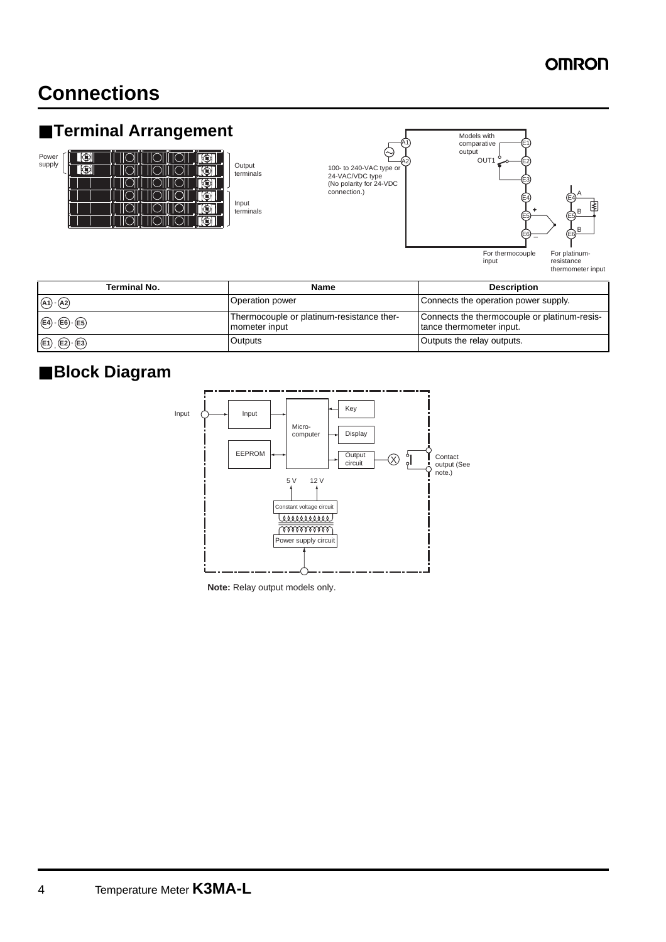## **Connections**

## ■ **Terminal Arrangement**



terminals Input





| <b>Terminal No.</b>                   | Name                                                       | <b>Description</b>                                                       |
|---------------------------------------|------------------------------------------------------------|--------------------------------------------------------------------------|
| $(A1)$ - $(A2)$                       | Operation power                                            | Connects the operation power supply.                                     |
| $(E4)$ - $(E6)$ - $(E5)$              | Thermocouple or platinum-resistance ther-<br>mometer input | Connects the thermocouple or platinum-resis-<br>tance thermometer input. |
| $\bigoplus$ , $\bigoplus$ $\bigoplus$ | Outputs                                                    | Outputs the relay outputs.                                               |

### ■ **Block Diagram**



**Note:** Relay output models only.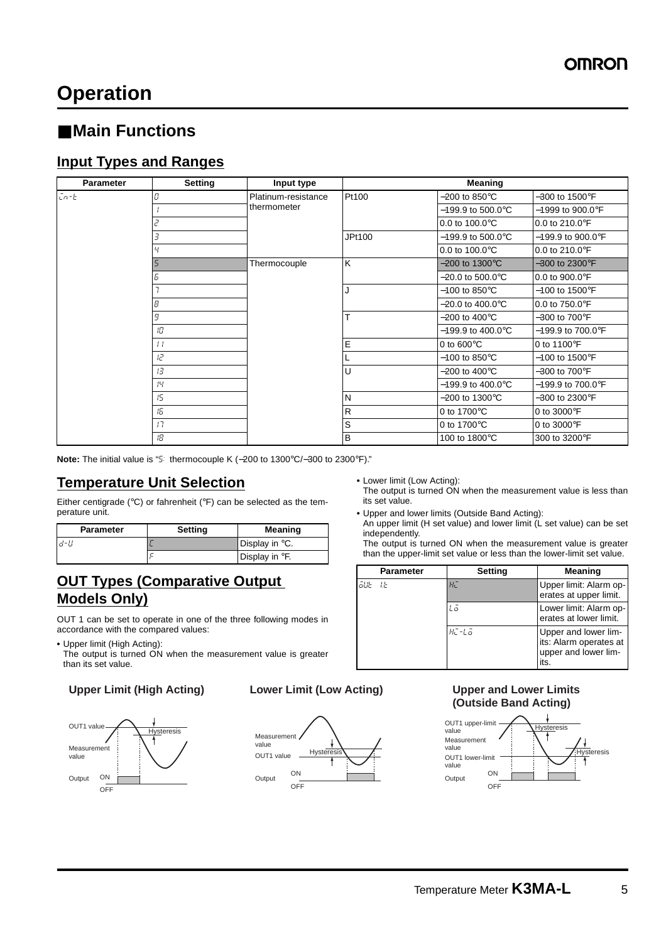## **Operation**

### ■ Main Functions

### **Input Types and Ranges**

| <b>Parameter</b> | <b>Setting</b>  | Input type          |                               | <b>Meaning</b>                    |                                     |                           |
|------------------|-----------------|---------------------|-------------------------------|-----------------------------------|-------------------------------------|---------------------------|
| $Ln-E$           | C               | Platinum-resistance | Pt100                         | -200 to 850 $\mathrm{^{\circ}C}$  | $-300$ to 1500 $\mathrm{^{\circ}F}$ |                           |
|                  | thermometer     |                     | $-199.9$ to $500.0^{\circ}$ C | $-1999$ to $900.0^{\circ}$ F      |                                     |                           |
|                  |                 |                     | 0.0 to $100.0^{\circ}$ C      | $0.0$ to 210.0 $\degree$ F        |                                     |                           |
|                  |                 | JPt100              | $-199.9$ to $500.0^{\circ}$ C | $-199.9$ to $900.0^{\circ}$ F     |                                     |                           |
|                  |                 |                     |                               | 0.0 to $100.0^{\circ}$ C          | 0.0 to 210.0 $\degree$ F            |                           |
|                  |                 | Thermocouple        | K                             | $-200$ to 1300 $^{\circ}$ C       | $-300$ to 2300°F                    |                           |
|                  | Б               |                     |                               | $-20.0$ to 500.0 $^{\circ}$ C     | $0.0$ to $900.0^{\circ}$ F          |                           |
|                  |                 |                     |                               |                                   | $-100$ to 850 $\degree$ C           | $-100$ to 1500°F          |
|                  | 8               |                     |                               | $-20.0$ to $400.0^{\circ}$ C      | 0.0 to $750.0^{\circ}$ F            |                           |
|                  | 9               |                     |                               | T                                 | -200 to 400 $^{\circ}$ C            | $-300$ to $700^{\circ}$ F |
|                  | 旧               |                     |                               | –199.9 to 400.0°C                 | $-199.9$ to $700.0^{\circ}$ F       |                           |
|                  | $\frac{1}{2}$   |                     |                               | E                                 | 0 to $600^{\circ}$ C                | 0 to 1100 $\degree$ F     |
|                  | I2              |                     |                               | $-100$ to 850 $\degree$ C         | $-100$ to 1500°F                    |                           |
|                  | $1\overline{3}$ |                     | U                             | -200 to 400 $^{\circ}$ C          | $-300$ to $700^{\circ}$ F           |                           |
|                  | 14              |                     |                               | $-199.9$ to $400.0^{\circ}$ C     | $-199.9$ to $700.0^{\circ}$ F       |                           |
| 15<br>15<br>17   |                 |                     | N                             | -200 to 1300 $\mathrm{^{\circ}C}$ | $-300$ to 2300 $\mathrm{^{\circ}F}$ |                           |
|                  |                 |                     | R                             | 0 to 1700 $\mathrm{^{\circ}C}$    | 0 to 3000°F                         |                           |
|                  |                 |                     | S                             | 0 to 1700°C                       | 0 to 3000°F                         |                           |
|                  | lВ              |                     | B                             | 100 to 1800°C                     | 300 to 3200°F                       |                           |

**Note:** The initial value is "5: thermocouple K (−200 to 1300°C/−300 to 2300°F)."

#### **Temperature Unit Selection**

Either centigrade (°C) or fahrenheit (°F) can be selected as the temperature unit.

| <b>Parameter</b> | <b>Setting</b> | Meaning                    |
|------------------|----------------|----------------------------|
| .d-U             |                | Display in °C.             |
|                  |                | Display in <sup>o</sup> F. |

### **OUT Types (Comparative Output Models Only)**

OUT 1 can be set to operate in one of the three following modes in accordance with the compared values:

**•** Upper limit (High Acting):

The output is turned ON when the measurement value is greater than its set value.







**•** Lower limit (Low Acting):

The output is turned ON when the measurement value is less than its set value.

**•** Upper and lower limits (Outside Band Acting):

An upper limit (H set value) and lower limit (L set value) can be set independently.

The output is turned ON when the measurement value is greater than the upper-limit set value or less than the lower-limit set value.

|        | Parameter | <b>Setting</b> | <b>Meaning</b>                                                                 |
|--------|-----------|----------------|--------------------------------------------------------------------------------|
| āue te |           | $H_L^-$        | Upper limit: Alarm op-<br>erates at upper limit.                               |
|        |           | Lā             | Lower limit: Alarm op-<br>erates at lower limit.                               |
|        |           | HE-Lā          | Upper and lower lim-<br>its: Alarm operates at<br>upper and lower lim-<br>its. |

#### **Upper and Lower Limits (Outside Band Acting)**

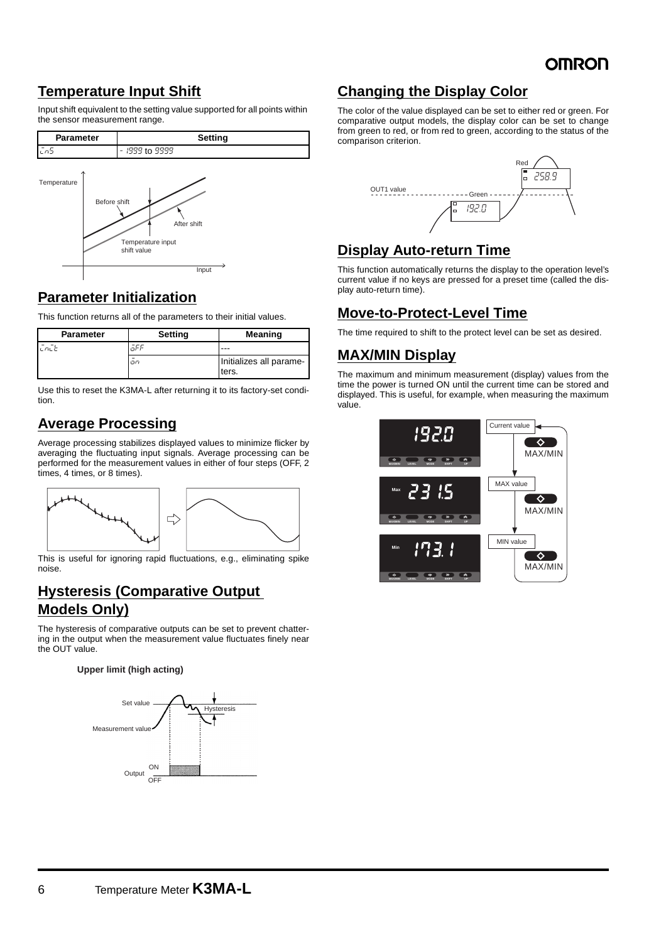### **Temperature Input Shift**

Input shift equivalent to the setting value supported for all points within the sensor measurement range.



### **Parameter Initialization**

This function returns all of the parameters to their initial values.

| <b>Parameter</b> | Setting | <b>Meaning</b>                   |
|------------------|---------|----------------------------------|
|                  | āFF     | ---                              |
|                  | .on     | Initializes all parame-<br>ters. |

Use this to reset the K3MA-L after returning it to its factory-set condition.

### **Average Processing**

Average processing stabilizes displayed values to minimize flicker by averaging the fluctuating input signals. Average processing can be performed for the measurement values in either of four steps (OFF, 2 times, 4 times, or 8 times).



This is useful for ignoring rapid fluctuations, e.g., eliminating spike noise.

#### **Hysteresis (Comparative Output Models Only)**

The hysteresis of comparative outputs can be set to prevent chattering in the output when the measurement value fluctuates finely near the OUT value.

#### **Upper limit (high acting)**



### **Changing the Display Color**

The color of the value displayed can be set to either red or green. For comparative output models, the display color can be set to change from green to red, or from red to green, according to the status of the comparison criterion.



### **Display Auto-return Time**

This function automatically returns the display to the operation level's current value if no keys are pressed for a preset time (called the display auto-return time).

### **Move-to-Protect-Level Time**

The time required to shift to the protect level can be set as desired.

### **MAX/MIN Display**

The maximum and minimum measurement (display) values from the time the power is turned ON until the current time can be stored and displayed. This is useful, for example, when measuring the maximum value.

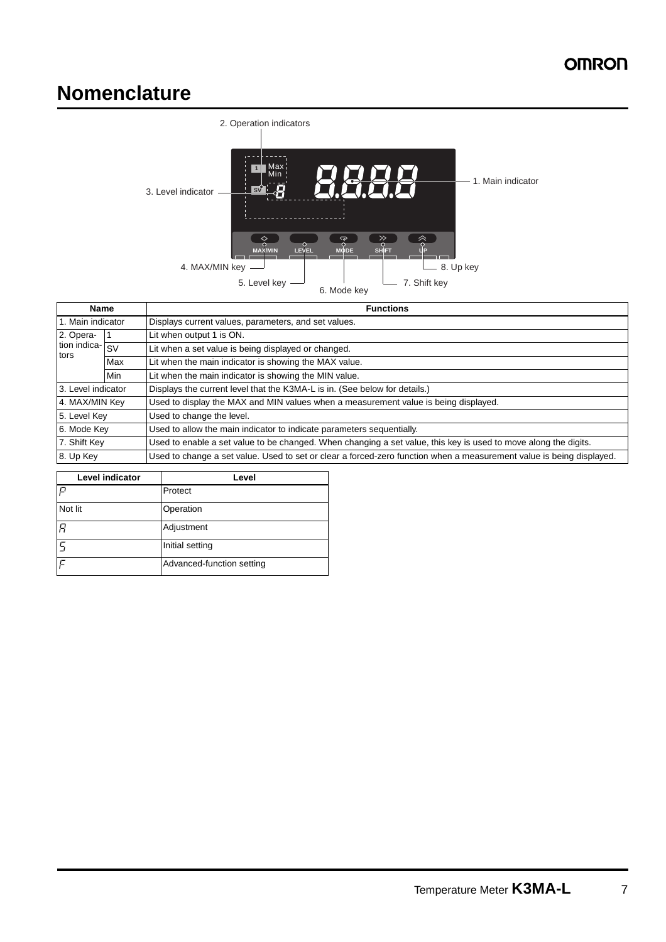## **Nomenclature**



| <b>Name</b>        |            | <b>Functions</b>                                                                                                     |  |  |  |
|--------------------|------------|----------------------------------------------------------------------------------------------------------------------|--|--|--|
| 1. Main indicator  |            | Displays current values, parameters, and set values.                                                                 |  |  |  |
| 2. Opera-          |            | Lit when output 1 is ON.                                                                                             |  |  |  |
| tion indica-       | <b>SV</b>  | Lit when a set value is being displayed or changed.                                                                  |  |  |  |
| tors               | Max        | Lit when the main indicator is showing the MAX value.                                                                |  |  |  |
|                    | <b>Min</b> | Lit when the main indicator is showing the MIN value.                                                                |  |  |  |
| 3. Level indicator |            | Displays the current level that the K3MA-L is in. (See below for details.)                                           |  |  |  |
| 4. MAX/MIN Key     |            | Used to display the MAX and MIN values when a measurement value is being displayed.                                  |  |  |  |
| 5. Level Key       |            | Used to change the level.                                                                                            |  |  |  |
| 6. Mode Key        |            | Used to allow the main indicator to indicate parameters sequentially.                                                |  |  |  |
| 7. Shift Key       |            | Used to enable a set value to be changed. When changing a set value, this key is used to move along the digits.      |  |  |  |
| 8. Up Key          |            | Used to change a set value. Used to set or clear a forced-zero function when a measurement value is being displayed. |  |  |  |

| <b>Level indicator</b> | Level                     |  |
|------------------------|---------------------------|--|
| P                      | Protect                   |  |
| Not lit                | Operation                 |  |
| $\overline{B}$         | Adjustment                |  |
| C                      | Initial setting           |  |
| $\overline{C}$         | Advanced-function setting |  |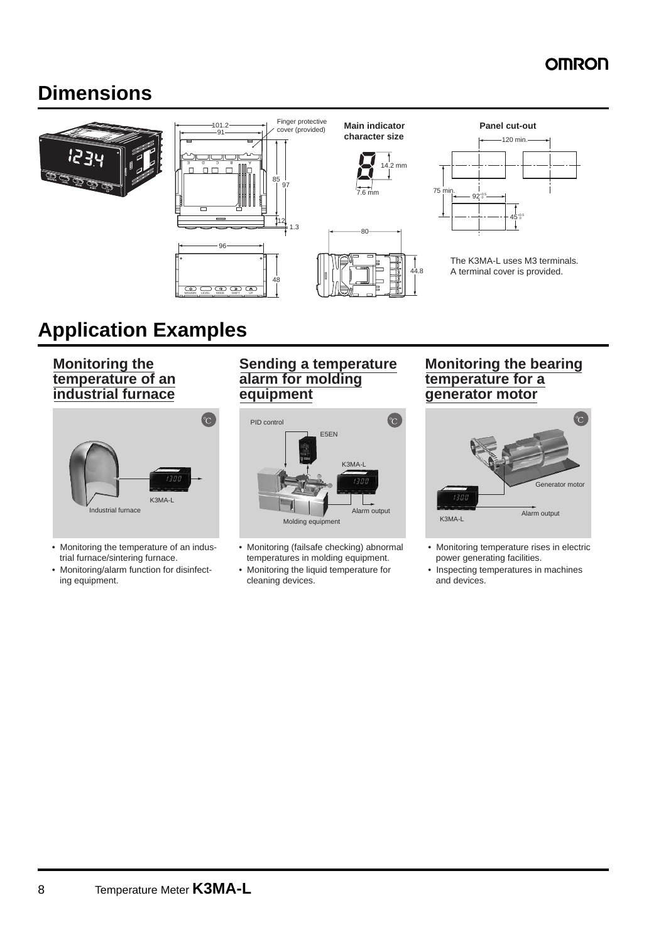## **Dimensions**



## **Application Examples**

**Monitoring the temperature of an industrial furnace**



- Monitoring the temperature of an industrial furnace/sintering furnace.
- Monitoring/alarm function for disinfecting equipment.

#### **Sending a temperature alarm for molding equipment**



- Monitoring (failsafe checking) abnormal temperatures in molding equipment.
- Monitoring the liquid temperature for cleaning devices.

#### **Monitoring the bearing temperature for a generator motor**



- Monitoring temperature rises in electric power generating facilities.
- Inspecting temperatures in machines and devices.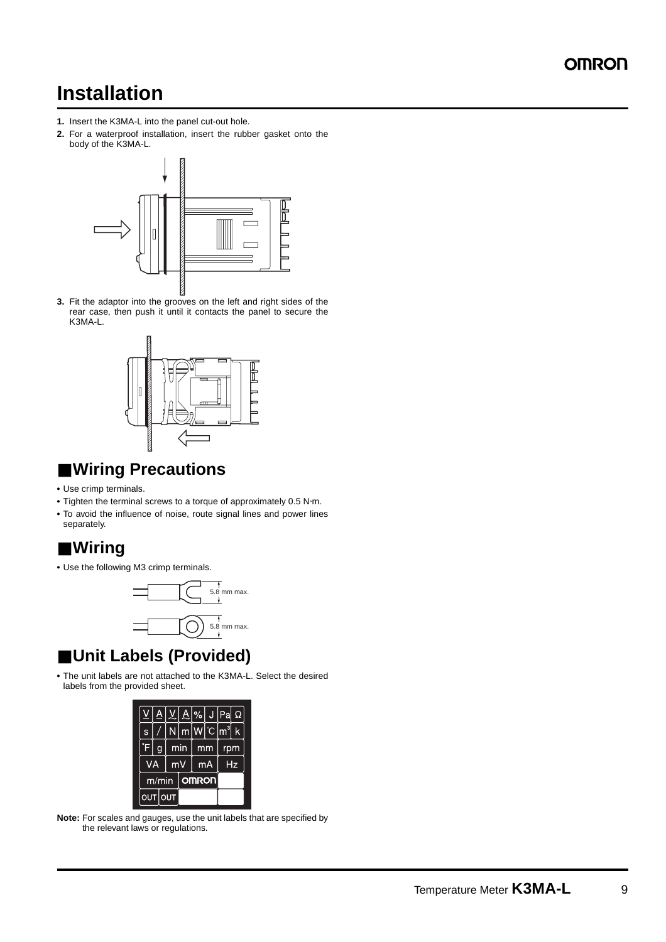## **Installation**

- **1.** Insert the K3MA-L into the panel cut-out hole.
- **2.** For a waterproof installation, insert the rubber gasket onto the body of the K3MA-L.



**3.** Fit the adaptor into the grooves on the left and right sides of the rear case, then push it until it contacts the panel to secure the K3MA-L.



### ■ **Wiring Precautions**

- **•** Use crimp terminals.
- **•** Tighten the terminal screws to a torque of approximately 0.5 N⋅m.
- **•** To avoid the influence of noise, route signal lines and power lines separately.

## ■ **Wiring**

**•** Use the following M3 crimp terminals.



## ■ **Unit Labels (Provided)**

**•** The unit labels are not attached to the K3MA-L. Select the desired labels from the provided sheet.

| S |                       |  | N.                                | m <sub>l</sub> |    | $W^{\circ}C m^3$ |     |    |
|---|-----------------------|--|-----------------------------------|----------------|----|------------------|-----|----|
| ¢ |                       |  |                                   | min            | mm |                  | rpm |    |
|   | VA                    |  | $\overline{\mathsf{m}}\mathsf{V}$ |                |    | mA               |     | Hz |
|   | <b>OMRON</b><br>m/min |  |                                   |                |    |                  |     |    |
|   | OUT                   |  | Ιουτ                              |                |    |                  |     |    |

**Note:** For scales and gauges, use the unit labels that are specified by the relevant laws or regulations.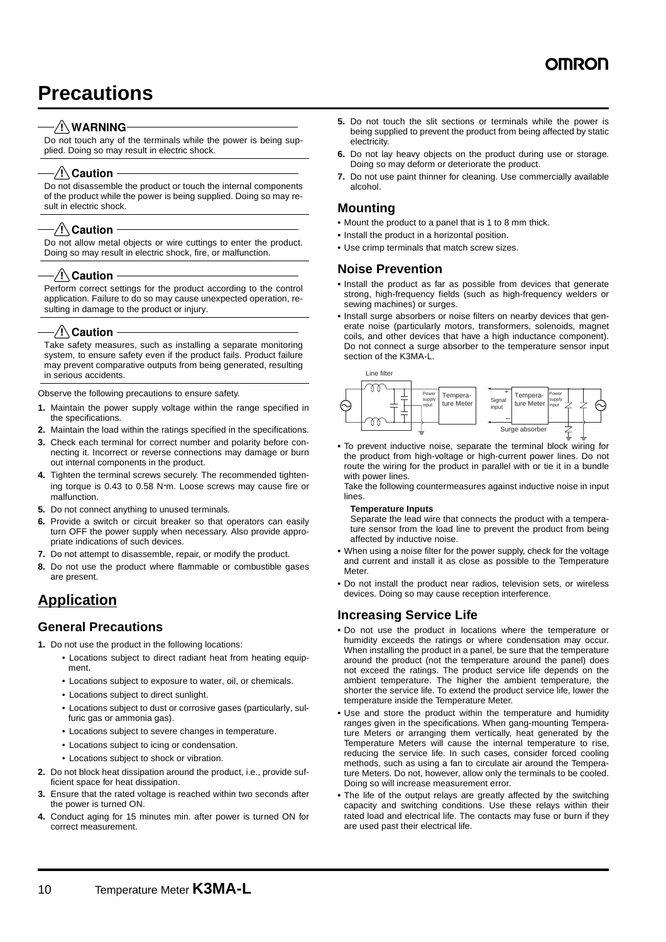## **Precautions**

#### $-\sqrt{!}\setminus$ WARNING

Do not touch any of the terminals while the power is being supplied. Doing so may result in electric shock.

#### ⁄ !∖ Caution

Do not disassemble the product or touch the internal components of the product while the power is being supplied. Doing so may result in electric shock.

#### $\sqrt{N}$  Caution

Do not allow metal objects or wire cuttings to enter the product. Doing so may result in electric shock, fire, or malfunction.

#### $\sqrt{!}$  Caution

Perform correct settings for the product according to the control application. Failure to do so may cause unexpected operation, resulting in damage to the product or injury.

#### $\sqrt{!}$  Caution

Take safety measures, such as installing a separate monitoring system, to ensure safety even if the product fails. Product failure may prevent comparative outputs from being generated, resulting in serious accidents.

Observe the following precautions to ensure safety.

- **1.** Maintain the power supply voltage within the range specified in the specifications.
- **2.** Maintain the load within the ratings specified in the specifications.
- **3.** Check each terminal for correct number and polarity before connecting it. Incorrect or reverse connections may damage or burn out internal components in the product.
- **4.** Tighten the terminal screws securely. The recommended tightening torque is 0.43 to 0.58 N⋅m. Loose screws may cause fire or malfunction.
- **5.** Do not connect anything to unused terminals.
- **6.** Provide a switch or circuit breaker so that operators can easily turn OFF the power supply when necessary. Also provide appropriate indications of such devices.
- **7.** Do not attempt to disassemble, repair, or modify the product.
- **8.** Do not use the product where flammable or combustible gases are present.

### **Application**

#### **General Precautions**

- **1.** Do not use the product in the following locations:
	- Locations subject to direct radiant heat from heating equipment.
	- Locations subject to exposure to water, oil, or chemicals.
	- Locations subject to direct sunlight.
	- Locations subject to dust or corrosive gases (particularly, sulfuric gas or ammonia gas).
	- Locations subject to severe changes in temperature.
	- Locations subject to icing or condensation.
	- Locations subject to shock or vibration.
- **2.** Do not block heat dissipation around the product, i.e., provide sufficient space for heat dissipation.
- **3.** Ensure that the rated voltage is reached within two seconds after the power is turned ON.
- **4.** Conduct aging for 15 minutes min. after power is turned ON for correct measurement.
- **5.** Do not touch the slit sections or terminals while the power is being supplied to prevent the product from being affected by static electricity.
- **6.** Do not lay heavy objects on the product during use or storage. Doing so may deform or deteriorate the product.
- **7.** Do not use paint thinner for cleaning. Use commercially available alcohol.

#### **Mounting**

- **•** Mount the product to a panel that is 1 to 8 mm thick.
- **•** Install the product in a horizontal position.
- **•** Use crimp terminals that match screw sizes.

#### **Noise Prevention**

- **•** Install the product as far as possible from devices that generate strong, high-frequency fields (such as high-frequency welders or sewing machines) or surges.
- **•** Install surge absorbers or noise filters on nearby devices that generate noise (particularly motors, transformers, solenoids, magnet coils, and other devices that have a high inductance component). Do not connect a surge absorber to the temperature sensor input section of the K3MA-L.



**•** To prevent inductive noise, separate the terminal block wiring for the product from high-voltage or high-current power lines. Do not route the wiring for the product in parallel with or tie it in a bundle with power lines.

Take the following countermeasures against inductive noise in input lines.

#### **Temperature Inputs**

Separate the lead wire that connects the product with a temperature sensor from the load line to prevent the product from being affected by inductive noise.

- **•** When using a noise filter for the power supply, check for the voltage and current and install it as close as possible to the Temperature Meter.
- **•** Do not install the product near radios, television sets, or wireless devices. Doing so may cause reception interference.

#### **Increasing Service Life**

- **•** Do not use the product in locations where the temperature or humidity exceeds the ratings or where condensation may occur. When installing the product in a panel, be sure that the temperature around the product (not the temperature around the panel) does not exceed the ratings. The product service life depends on the ambient temperature. The higher the ambient temperature, the shorter the service life. To extend the product service life, lower the temperature inside the Temperature Meter.
- **•** Use and store the product within the temperature and humidity ranges given in the specifications. When gang-mounting Temperature Meters or arranging them vertically, heat generated by the Temperature Meters will cause the internal temperature to rise, reducing the service life. In such cases, consider forced cooling methods, such as using a fan to circulate air around the Temperature Meters. Do not, however, allow only the terminals to be cooled. Doing so will increase measurement error.
- **•** The life of the output relays are greatly affected by the switching capacity and switching conditions. Use these relays within their rated load and electrical life. The contacts may fuse or burn if they are used past their electrical life.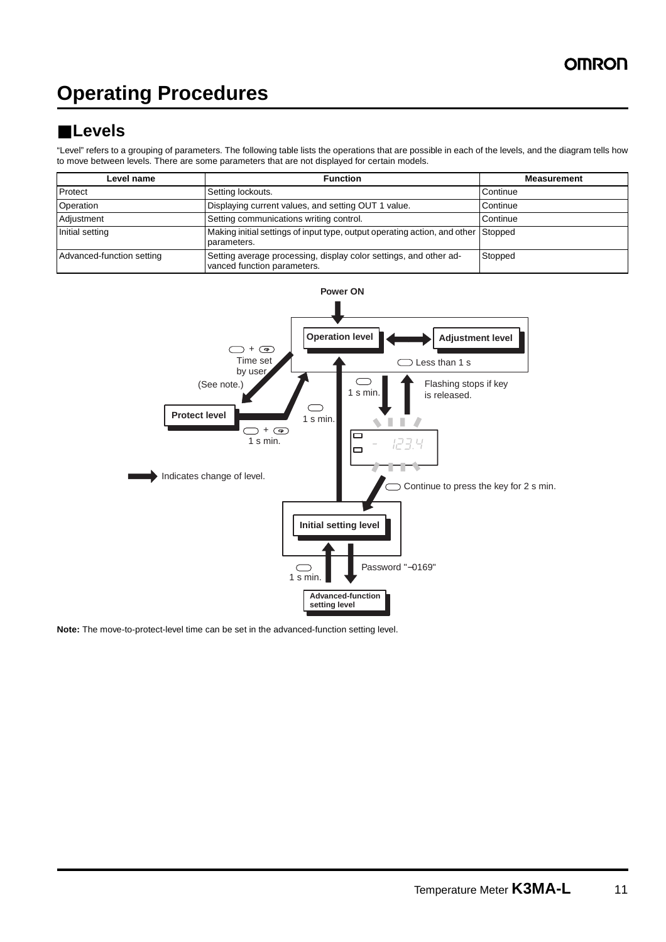## **Operating Procedures**

## ■ **Levels**

"Level" refers to a grouping of parameters. The following table lists the operations that are possible in each of the levels, and the diagram tells how to move between levels. There are some parameters that are not displayed for certain models.

| Level name                | <b>Function</b>                                                                                  | <b>Measurement</b> |
|---------------------------|--------------------------------------------------------------------------------------------------|--------------------|
| Protect                   | Setting lockouts.                                                                                | Continue           |
| Operation                 | Displaying current values, and setting OUT 1 value.                                              | Continue           |
| Adjustment                | Setting communications writing control.                                                          | Continue           |
| Initial setting           | Making initial settings of input type, output operating action, and other Stopped<br>parameters. |                    |
| Advanced-function setting | Setting average processing, display color settings, and other ad-<br>vanced function parameters. | Stopped            |



**Note:** The move-to-protect-level time can be set in the advanced-function setting level.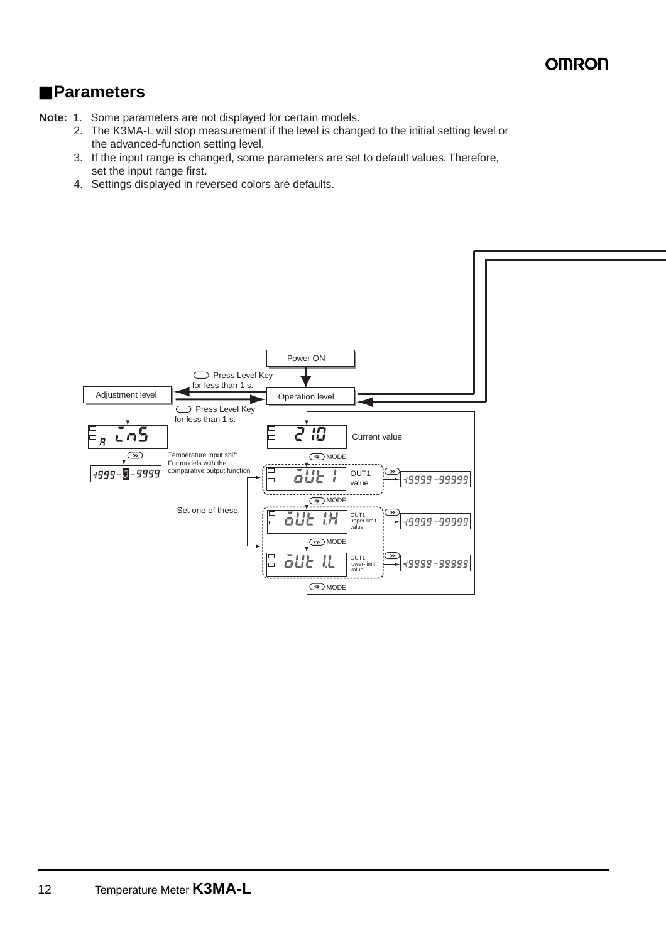### ■ **Parameters**

**Note:** 1. Some parameters are not displayed for certain models.

- 2. The K3MA-L will stop measurement if the level is changed to the initial setting level or the advanced-function setting level.
- 3. If the input range is changed, some parameters are set to default values. Therefore, set the input range first.
- 4. Settings displayed in reversed colors are defaults.

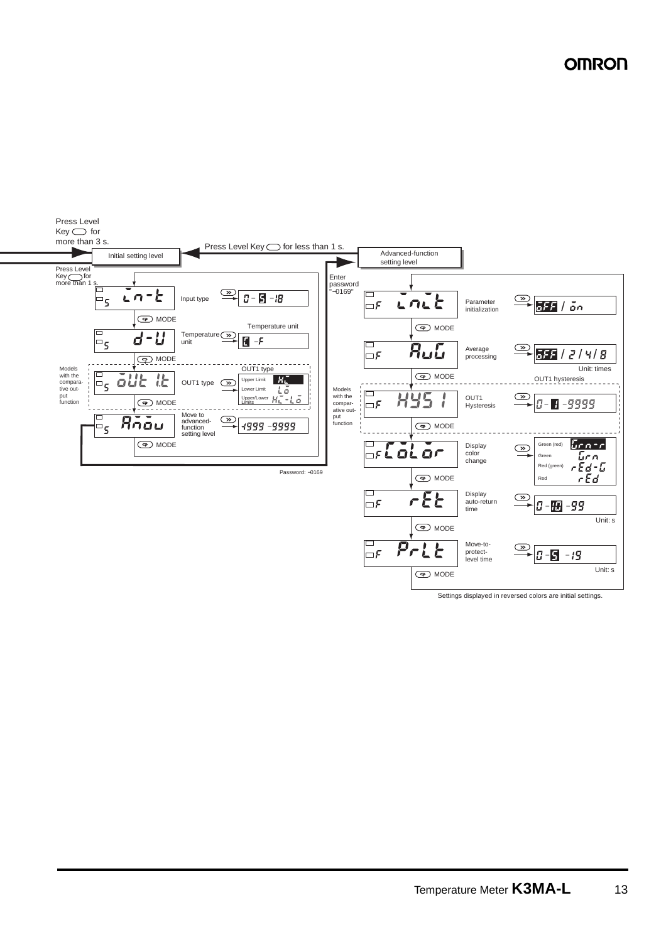

Settings displayed in reversed colors are initial settings.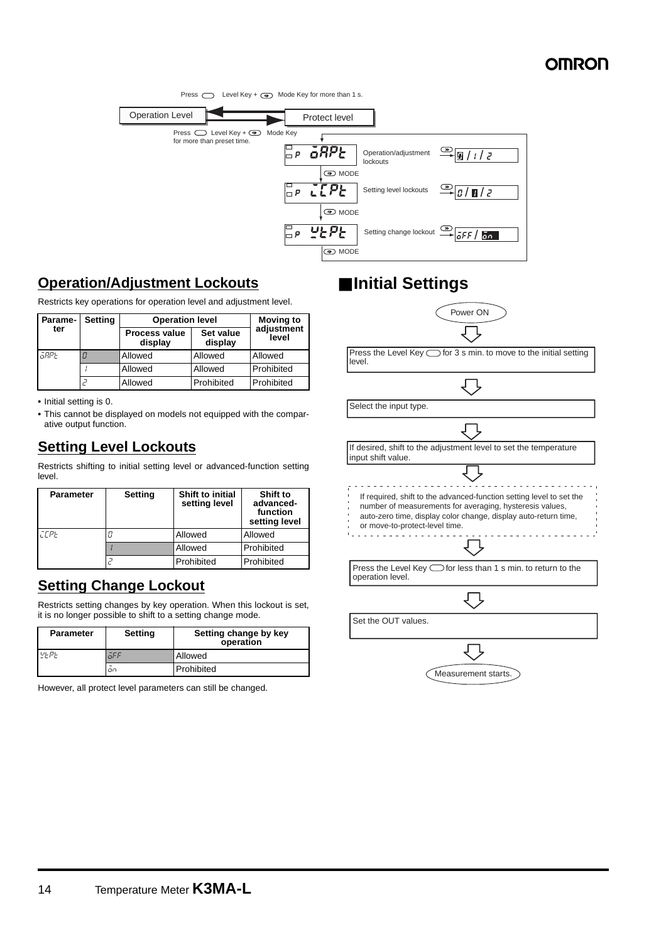

### **Operation/Adjustment Lockouts**

Restricts key operations for operation level and adjustment level.

| Parame- | <b>Setting</b> | <b>Operation level</b>          | <b>Moving to</b>     |                     |
|---------|----------------|---------------------------------|----------------------|---------------------|
| ter     |                | <b>Process value</b><br>display | Set value<br>display | adjustment<br>level |
| āRPE    |                | Allowed                         | Allowed              | Allowed             |
|         |                | Allowed                         | Allowed              | Prohibited          |
|         |                | Allowed                         | Prohibited           | Prohibited          |

**•** Initial setting is 0.

**•** This cannot be displayed on models not equipped with the comparative output function.

### **Setting Level Lockouts**

Restricts shifting to initial setting level or advanced-function setting level.

| <b>Parameter</b> | <b>Setting</b> | <b>Shift to initial</b><br>setting level | Shift to<br>advanced-<br>function<br>setting level |
|------------------|----------------|------------------------------------------|----------------------------------------------------|
| <b>CEPE</b>      |                | Allowed                                  | Allowed                                            |
|                  |                | Allowed                                  | Prohibited                                         |
|                  |                | Prohibited                               | Prohibited                                         |

### **Setting Change Lockout**

Restricts setting changes by key operation. When this lockout is set, it is no longer possible to shift to a setting change mode.

| <b>Parameter</b> | <b>Setting</b> | Setting change by key<br>operation |
|------------------|----------------|------------------------------------|
| $u_F$ p          | aFF            | Allowed                            |
|                  | on             | Prohibited                         |

However, all protect level parameters can still be changed.

## ■ **Initial Settings**

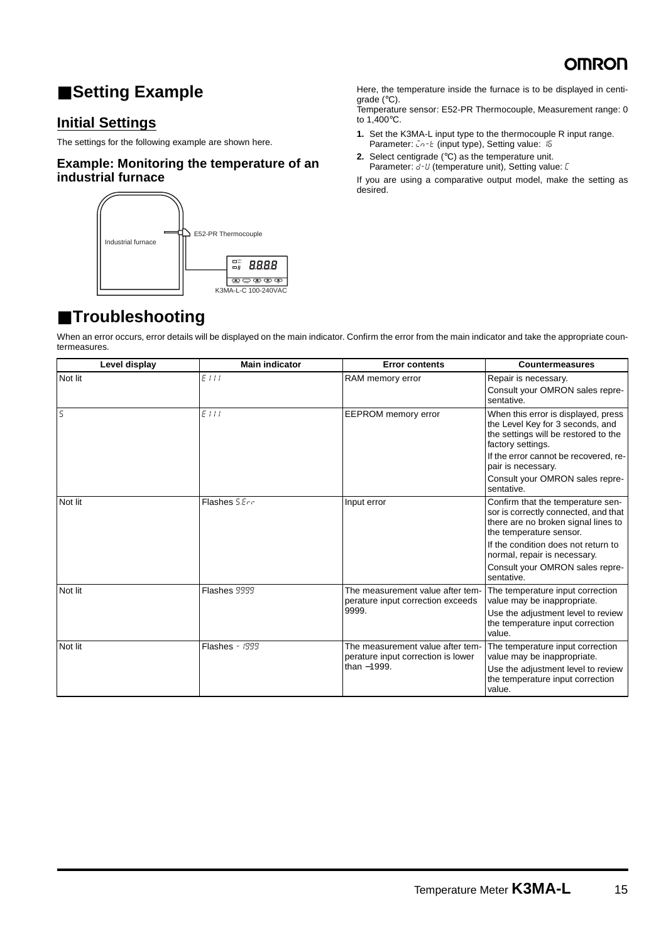

## ■ **Setting Example**

### **Initial Settings**

The settings for the following example are shown here.

#### **Example: Monitoring the temperature of an industrial furnace**



Here, the temperature inside the furnace is to be displayed in centigrade (°C).

Temperature sensor: E52-PR Thermocouple, Measurement range: 0 to 1,400°C.

- **1.** Set the K3MA-L input type to the thermocouple R input range. Parameter:  $\overline{L}n-\overline{L}$  (input type), Setting value: 15
- **2.** Select centigrade (°C) as the temperature unit. Parameter: d-U (temperature unit), Setting value: [

If you are using a comparative output model, make the setting as desired.

## ■ **Troubleshooting**

When an error occurs, error details will be displayed on the main indicator. Confirm the error from the main indicator and take the appropriate countermeasures.

| Level display  | <b>Main indicator</b> | <b>Error contents</b>                                                  | <b>Countermeasures</b>                                                                                                                      |
|----------------|-----------------------|------------------------------------------------------------------------|---------------------------------------------------------------------------------------------------------------------------------------------|
| Not lit        | EIII                  | RAM memory error                                                       | Repair is necessary.<br>Consult your OMRON sales repre-<br>sentative.                                                                       |
| $\overline{5}$ | EIII                  | <b>EEPROM</b> memory error                                             | When this error is displayed, press<br>the Level Key for 3 seconds, and<br>the settings will be restored to the<br>factory settings.        |
|                |                       |                                                                        | If the error cannot be recovered, re-<br>pair is necessary.                                                                                 |
|                |                       |                                                                        | Consult your OMRON sales repre-<br>sentative.                                                                                               |
| Not lit        | Flashes 5.Err         | Input error                                                            | Confirm that the temperature sen-<br>sor is correctly connected, and that<br>there are no broken signal lines to<br>the temperature sensor. |
|                |                       |                                                                        | If the condition does not return to<br>normal, repair is necessary.                                                                         |
|                |                       |                                                                        | Consult your OMRON sales repre-<br>sentative.                                                                                               |
| Not lit        | Flashes 9999          | The measurement value after tem-<br>perature input correction exceeds  | The temperature input correction<br>value may be inappropriate.                                                                             |
|                |                       | 9999.                                                                  | Use the adjustment level to review<br>the temperature input correction<br>value.                                                            |
| Not lit        | <b>Flashes - 1999</b> | The measurement value after tem-<br>perature input correction is lower | The temperature input correction<br>value may be inappropriate.                                                                             |
|                |                       | than -1999.                                                            | Use the adjustment level to review<br>the temperature input correction<br>value.                                                            |